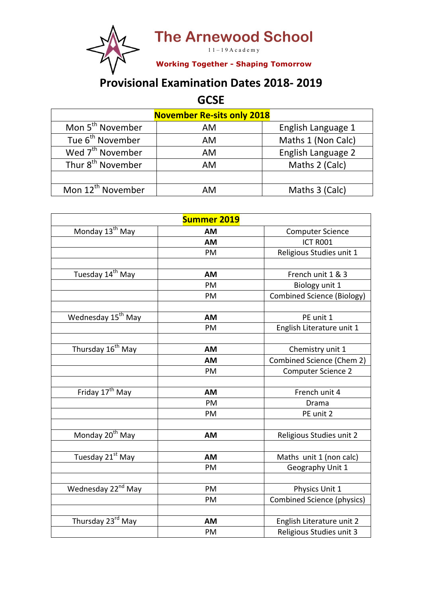**The Arnewood School**

 $11 - 19$  A c a d e m y

**Working Together - Shaping Tomorrow**

## **Provisional Examination Dates 2018- 2019**

**GCSE**

| <b>November Re-sits only 2018</b> |    |                    |  |
|-----------------------------------|----|--------------------|--|
| Mon 5 <sup>th</sup> November      | AM | English Language 1 |  |
| Tue 6 <sup>th</sup> November      | AM | Maths 1 (Non Calc) |  |
| Wed 7 <sup>th</sup> November      | AM | English Language 2 |  |
| Thur 8 <sup>th</sup> November     | AM | Maths 2 (Calc)     |  |
|                                   |    |                    |  |
| Mon 12 <sup>th</sup> November     | AМ | Maths 3 (Calc)     |  |

| <b>Summer 2019</b>             |           |                                   |  |  |
|--------------------------------|-----------|-----------------------------------|--|--|
| Monday 13 <sup>th</sup> May    | AM        | <b>Computer Science</b>           |  |  |
|                                | <b>AM</b> | ICT ROO1                          |  |  |
|                                | PM        | Religious Studies unit 1          |  |  |
|                                |           |                                   |  |  |
| Tuesday 14 <sup>th</sup> May   | <b>AM</b> | French unit 1 & 3                 |  |  |
|                                | PM        | Biology unit 1                    |  |  |
|                                | PM        | <b>Combined Science (Biology)</b> |  |  |
|                                |           |                                   |  |  |
| Wednesday 15 <sup>th</sup> May | <b>AM</b> | PE unit 1                         |  |  |
|                                | PM        | English Literature unit 1         |  |  |
|                                |           |                                   |  |  |
| Thursday 16 <sup>th</sup> May  | <b>AM</b> | Chemistry unit 1                  |  |  |
|                                | <b>AM</b> | Combined Science (Chem 2)         |  |  |
|                                | PM        | <b>Computer Science 2</b>         |  |  |
|                                |           |                                   |  |  |
| Friday 17 <sup>th</sup> May    | <b>AM</b> | French unit 4                     |  |  |
|                                | PM        | Drama                             |  |  |
|                                | PM        | PE unit 2                         |  |  |
|                                |           |                                   |  |  |
| Monday 20 <sup>th</sup> May    | <b>AM</b> | Religious Studies unit 2          |  |  |
|                                |           |                                   |  |  |
| Tuesday 21st May               | <b>AM</b> | Maths unit 1 (non calc)           |  |  |
|                                | PM        | Geography Unit 1                  |  |  |
|                                |           |                                   |  |  |
| Wednesday 22 <sup>nd</sup> May | PM        | Physics Unit 1                    |  |  |
|                                | PM        | <b>Combined Science (physics)</b> |  |  |
|                                |           |                                   |  |  |
| Thursday 23rd May              | <b>AM</b> | English Literature unit 2         |  |  |
|                                | PM        | Religious Studies unit 3          |  |  |